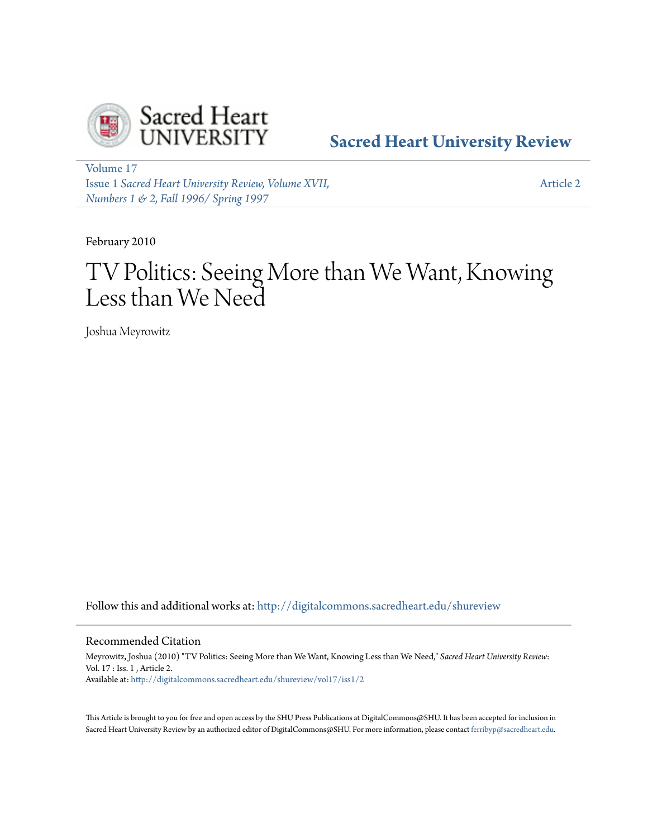

# **[Sacred Heart University Review](http://digitalcommons.sacredheart.edu/shureview?utm_source=digitalcommons.sacredheart.edu%2Fshureview%2Fvol17%2Fiss1%2F2&utm_medium=PDF&utm_campaign=PDFCoverPages)**

[Volume 17](http://digitalcommons.sacredheart.edu/shureview/vol17?utm_source=digitalcommons.sacredheart.edu%2Fshureview%2Fvol17%2Fiss1%2F2&utm_medium=PDF&utm_campaign=PDFCoverPages) Issue 1 *[Sacred Heart University Review, Volume XVII,](http://digitalcommons.sacredheart.edu/shureview/vol17/iss1?utm_source=digitalcommons.sacredheart.edu%2Fshureview%2Fvol17%2Fiss1%2F2&utm_medium=PDF&utm_campaign=PDFCoverPages) [Numbers 1 & 2, Fall 1996/ Spring 1997](http://digitalcommons.sacredheart.edu/shureview/vol17/iss1?utm_source=digitalcommons.sacredheart.edu%2Fshureview%2Fvol17%2Fiss1%2F2&utm_medium=PDF&utm_campaign=PDFCoverPages)*

[Article 2](http://digitalcommons.sacredheart.edu/shureview/vol17/iss1/2?utm_source=digitalcommons.sacredheart.edu%2Fshureview%2Fvol17%2Fiss1%2F2&utm_medium=PDF&utm_campaign=PDFCoverPages)

February 2010

# TV Politics: Seeing More than We Want, Knowing Less than We Need

Joshua Meyrowitz

Follow this and additional works at: [http://digitalcommons.sacredheart.edu/shureview](http://digitalcommons.sacredheart.edu/shureview?utm_source=digitalcommons.sacredheart.edu%2Fshureview%2Fvol17%2Fiss1%2F2&utm_medium=PDF&utm_campaign=PDFCoverPages)

## Recommended Citation

Meyrowitz, Joshua (2010) "TV Politics: Seeing More than We Want, Knowing Less than We Need," *Sacred Heart University Review*: Vol. 17 : Iss. 1 , Article 2. Available at: [http://digitalcommons.sacredheart.edu/shureview/vol17/iss1/2](http://digitalcommons.sacredheart.edu/shureview/vol17/iss1/2?utm_source=digitalcommons.sacredheart.edu%2Fshureview%2Fvol17%2Fiss1%2F2&utm_medium=PDF&utm_campaign=PDFCoverPages)

This Article is brought to you for free and open access by the SHU Press Publications at DigitalCommons@SHU. It has been accepted for inclusion in Sacred Heart University Review by an authorized editor of DigitalCommons@SHU. For more information, please contact [ferribyp@sacredheart.edu](mailto:ferribyp@sacredheart.edu).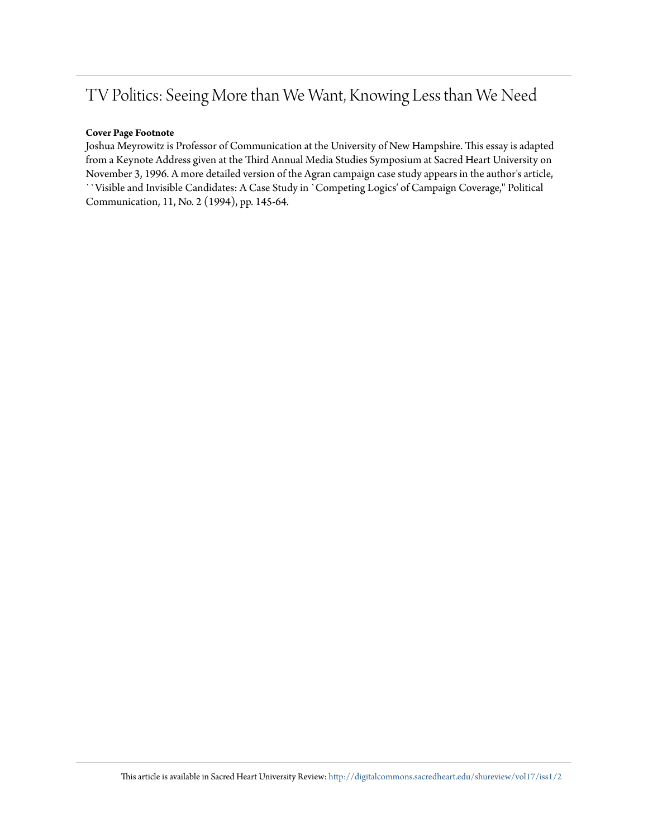# TV Politics: Seeing More than We Want, Knowing Less than We Need

## **Cover Page Footnote**

Joshua Meyrowitz is Professor of Communication at the University of New Hampshire. This essay is adapted from a Keynote Address given at the Third Annual Media Studies Symposium at Sacred Heart University on November 3, 1996. A more detailed version of the Agran campaign case study appears in the author's article, ``Visible and Invisible Candidates: A Case Study in `Competing Logics' of Campaign Coverage,'' Political Communication, 11, No. 2 (1994), pp. 145-64.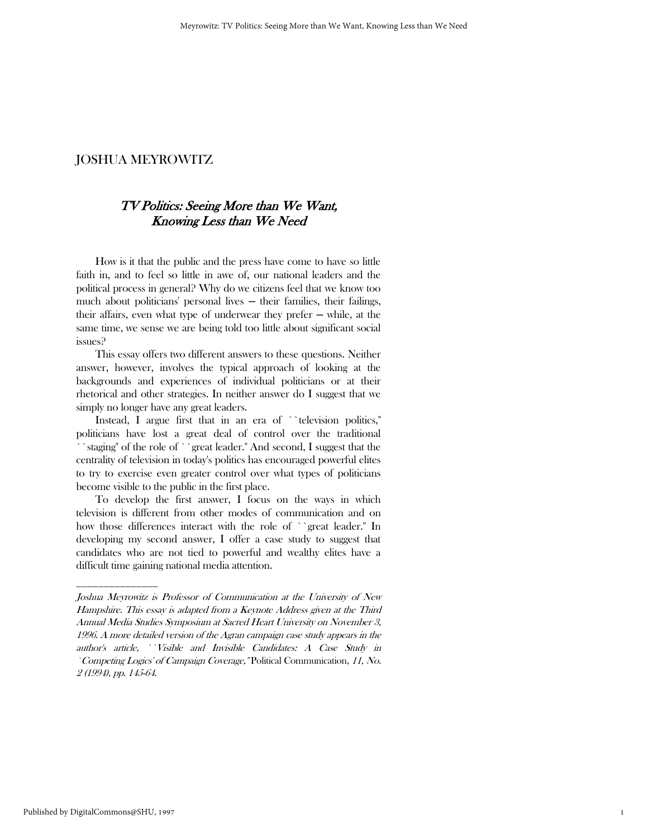# TV Politics: Seeing More than We Want, Knowing Less than We Need

 How is it that the public and the press have come to have so little faith in, and to feel so little in awe of, our national leaders and the political process in general? Why do we citizens feel that we know too much about politicians' personal lives  $-$  their families, their failings, their affairs, even what type of underwear they prefer  $-$  while, at the same time, we sense we are being told too little about significant social issues?

 This essay offers two different answers to these questions. Neither answer, however, involves the typical approach of looking at the backgrounds and experiences of individual politicians or at their rhetorical and other strategies. In neither answer do I suggest that we simply no longer have any great leaders.

 Instead, I argue first that in an era of ``television politics,'' politicians have lost a great deal of control over the traditional ``staging'' of the role of ``great leader.'' And second, I suggest that the centrality of television in today's politics has encouraged powerful elites to try to exercise even greater control over what types of politicians become visible to the public in the first place.

 To develop the first answer, I focus on the ways in which television is different from other modes of communication and on how those differences interact with the role of ``great leader." In developing my second answer, I offer a case study to suggest that candidates who are not tied to powerful and wealthy elites have a difficult time gaining national media attention.

\_\_\_\_\_\_\_\_\_\_\_\_\_\_\_

Joshua Meyrowitz is Professor of Communication at the University of New Hampshire. This essay is adapted from a Keynote Address given at the Third Annual Media Studies Symposium at Sacred Heart University on November 3, 1996. A more detailed version of the Agran campaign case study appears in the author's article, ``Visible and Invisible Candidates: A Case Study in `Competing Logics' of Campaign Coverage,'' Political Communication, 11, No. 2 (1994), pp. 145-64.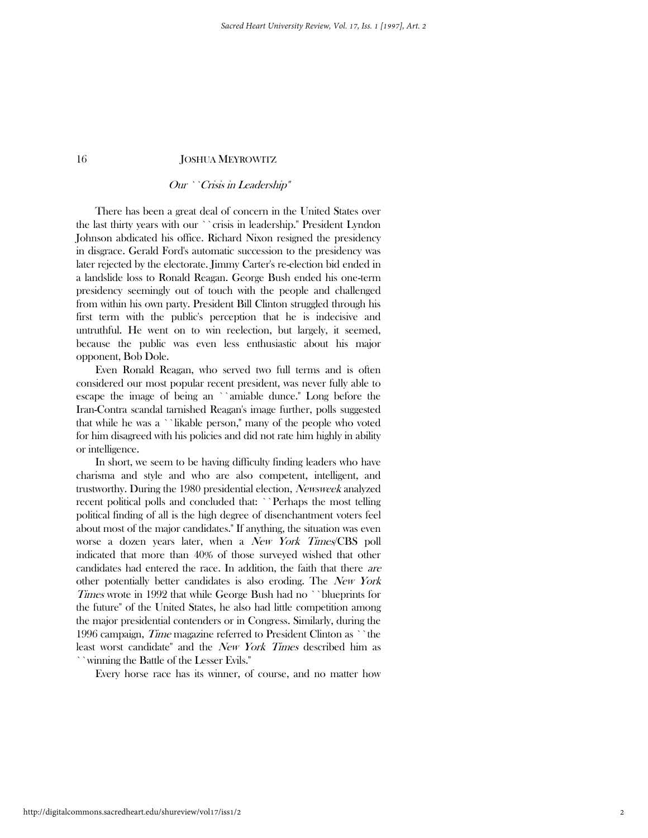#### Our ``Crisis in Leadership''

 There has been a great deal of concern in the United States over the last thirty years with our ``crisis in leadership.'' President Lyndon Johnson abdicated his office. Richard Nixon resigned the presidency in disgrace. Gerald Ford's automatic succession to the presidency was later rejected by the electorate. Jimmy Carter's re-election bid ended in a landslide loss to Ronald Reagan. George Bush ended his one-term presidency seemingly out of touch with the people and challenged from within his own party. President Bill Clinton struggled through his first term with the public's perception that he is indecisive and untruthful. He went on to win reelection, but largely, it seemed, because the public was even less enthusiastic about his major opponent, Bob Dole.

 Even Ronald Reagan, who served two full terms and is often considered our most popular recent president, was never fully able to escape the image of being an ``amiable dunce.'' Long before the Iran-Contra scandal tarnished Reagan's image further, polls suggested that while he was a ``likable person,'' many of the people who voted for him disagreed with his policies and did not rate him highly in ability or intelligence.

 In short, we seem to be having difficulty finding leaders who have charisma and style and who are also competent, intelligent, and trustworthy. During the 1980 presidential election, Newsweek analyzed recent political polls and concluded that: ``Perhaps the most telling political finding of all is the high degree of disenchantment voters feel about most of the major candidates.'' If anything, the situation was even worse a dozen years later, when a New York Times/CBS poll indicated that more than 40% of those surveyed wished that other candidates had entered the race. In addition, the faith that there are other potentially better candidates is also eroding. The New York Times wrote in 1992 that while George Bush had no ``blueprints for the future'' of the United States, he also had little competition among the major presidential contenders or in Congress. Similarly, during the 1996 campaign, *Time* magazine referred to President Clinton as ``the least worst candidate'' and the New York Times described him as ``winning the Battle of the Lesser Evils.''

Every horse race has its winner, of course, and no matter how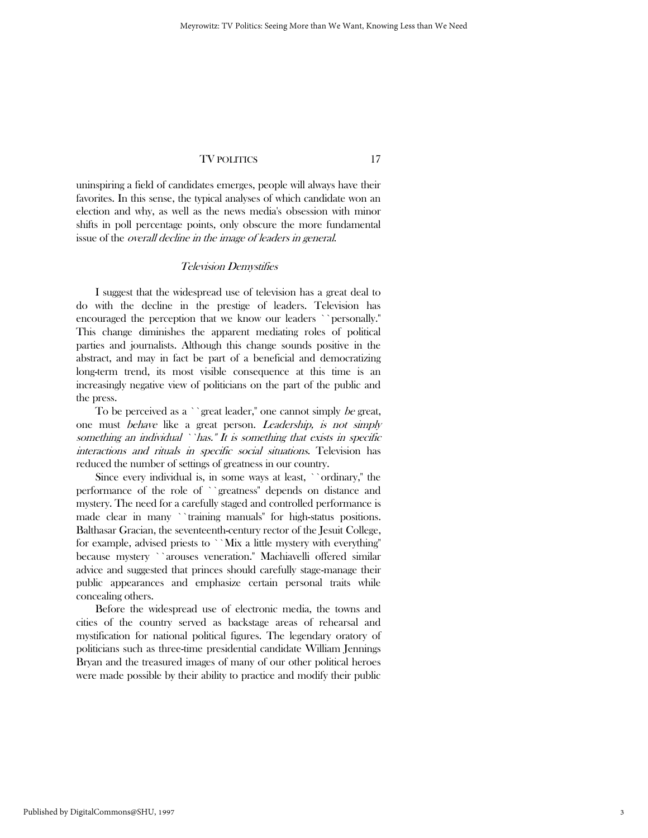uninspiring a field of candidates emerges, people will always have their favorites. In this sense, the typical analyses of which candidate won an election and why, as well as the news media's obsession with minor shifts in poll percentage points, only obscure the more fundamental issue of the overall decline in the image of leaders in general.

#### Television Demystifies

 I suggest that the widespread use of television has a great deal to do with the decline in the prestige of leaders. Television has encouraged the perception that we know our leaders ``personally.'' This change diminishes the apparent mediating roles of political parties and journalists. Although this change sounds positive in the abstract, and may in fact be part of a beneficial and democratizing long-term trend, its most visible consequence at this time is an increasingly negative view of politicians on the part of the public and the press.

To be perceived as a ``great leader," one cannot simply *be* great, one must behave like a great person. Leadership, is not simply something an individual ``has.'' It is something that exists in specific interactions and rituals in specific social situations. Television has reduced the number of settings of greatness in our country.

 Since every individual is, in some ways at least, ``ordinary,'' the performance of the role of ``greatness'' depends on distance and mystery. The need for a carefully staged and controlled performance is made clear in many ``training manuals'' for high-status positions. Balthasar Gracian, the seventeenth-century rector of the Jesuit College, for example, advised priests to ``Mix a little mystery with everything'' because mystery ``arouses veneration.'' Machiavelli offered similar advice and suggested that princes should carefully stage-manage their public appearances and emphasize certain personal traits while concealing others.

 Before the widespread use of electronic media, the towns and cities of the country served as backstage areas of rehearsal and mystification for national political figures. The legendary oratory of politicians such as three-time presidential candidate William Jennings Bryan and the treasured images of many of our other political heroes were made possible by their ability to practice and modify their public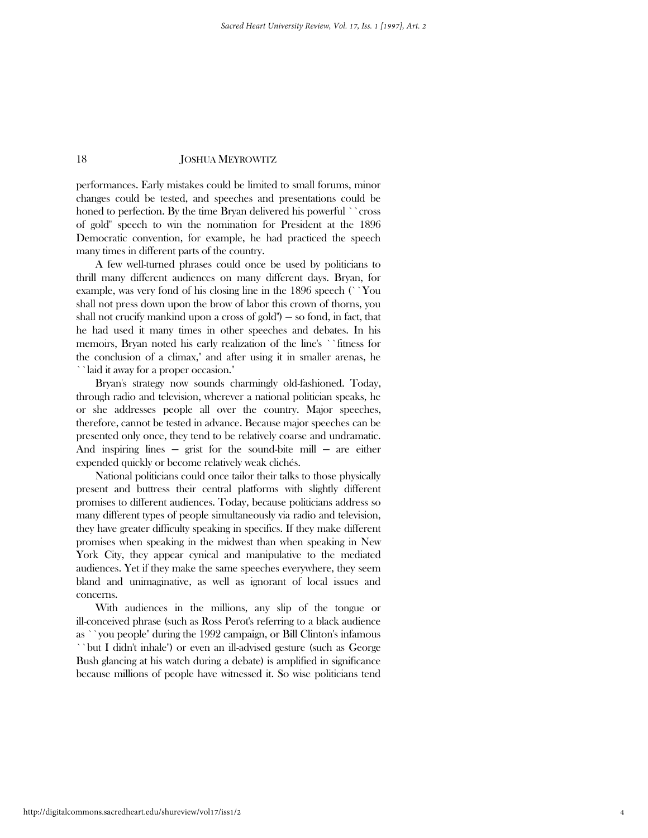performances. Early mistakes could be limited to small forums, minor changes could be tested, and speeches and presentations could be honed to perfection. By the time Bryan delivered his powerful ``cross of gold'' speech to win the nomination for President at the 1896 Democratic convention, for example, he had practiced the speech many times in different parts of the country.

 A few well-turned phrases could once be used by politicians to thrill many different audiences on many different days. Bryan, for example, was very fond of his closing line in the 1896 speech (``You shall not press down upon the brow of labor this crown of thorns, you shall not crucify mankind upon a cross of  $\text{gold}$ " $\rightarrow$  so fond, in fact, that he had used it many times in other speeches and debates. In his memoirs, Bryan noted his early realization of the line's ``fitness for the conclusion of a climax,'' and after using it in smaller arenas, he ``laid it away for a proper occasion.''

 Bryan's strategy now sounds charmingly old-fashioned. Today, through radio and television, wherever a national politician speaks, he or she addresses people all over the country. Major speeches, therefore, cannot be tested in advance. Because major speeches can be presented only once, they tend to be relatively coarse and undramatic. And inspiring lines  $-$  grist for the sound-bite mill  $-$  are either expended quickly or become relatively weak clichés.

 National politicians could once tailor their talks to those physically present and buttress their central platforms with slightly different promises to different audiences. Today, because politicians address so many different types of people simultaneously via radio and television, they have greater difficulty speaking in specifics. If they make different promises when speaking in the midwest than when speaking in New York City, they appear cynical and manipulative to the mediated audiences. Yet if they make the same speeches everywhere, they seem bland and unimaginative, as well as ignorant of local issues and concerns.

 With audiences in the millions, any slip of the tongue or ill-conceived phrase (such as Ross Perot's referring to a black audience as ``you people'' during the 1992 campaign, or Bill Clinton's infamous

``but I didn't inhale'') or even an ill-advised gesture (such as George Bush glancing at his watch during a debate) is amplified in significance because millions of people have witnessed it. So wise politicians tend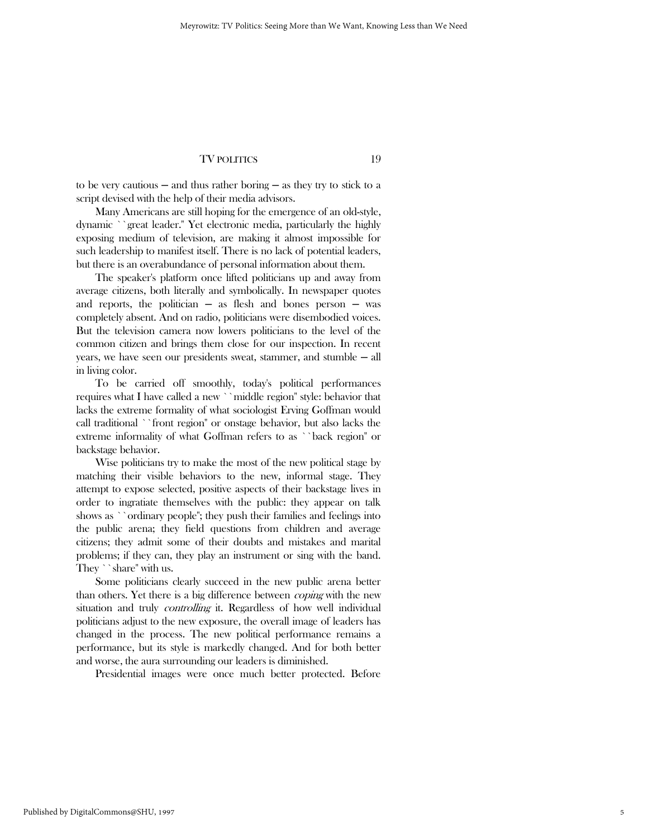to be very cautious  $-$  and thus rather boring  $-$  as they try to stick to a script devised with the help of their media advisors.

 Many Americans are still hoping for the emergence of an old-style, dynamic ``great leader.'' Yet electronic media, particularly the highly exposing medium of television, are making it almost impossible for such leadership to manifest itself. There is no lack of potential leaders, but there is an overabundance of personal information about them.

 The speaker's platform once lifted politicians up and away from average citizens, both literally and symbolically. In newspaper quotes and reports, the politician  $-$  as flesh and bones person  $-$  was completely absent. And on radio, politicians were disembodied voices. But the television camera now lowers politicians to the level of the common citizen and brings them close for our inspection. In recent years, we have seen our presidents sweat, stammer, and stumble ─ all in living color.

 To be carried off smoothly, today's political performances requires what I have called a new ``middle region'' style: behavior that lacks the extreme formality of what sociologist Erving Goffman would call traditional ``front region'' or onstage behavior, but also lacks the extreme informality of what Goffman refers to as ``back region'' or backstage behavior.

 Wise politicians try to make the most of the new political stage by matching their visible behaviors to the new, informal stage. They attempt to expose selected, positive aspects of their backstage lives in order to ingratiate themselves with the public: they appear on talk shows as ``ordinary people''; they push their families and feelings into the public arena; they field questions from children and average citizens; they admit some of their doubts and mistakes and marital problems; if they can, they play an instrument or sing with the band. They ``share'' with us.

 Some politicians clearly succeed in the new public arena better than others. Yet there is a big difference between *coping* with the new situation and truly *controlling* it. Regardless of how well individual politicians adjust to the new exposure, the overall image of leaders has changed in the process. The new political performance remains a performance, but its style is markedly changed. And for both better and worse, the aura surrounding our leaders is diminished.

Presidential images were once much better protected. Before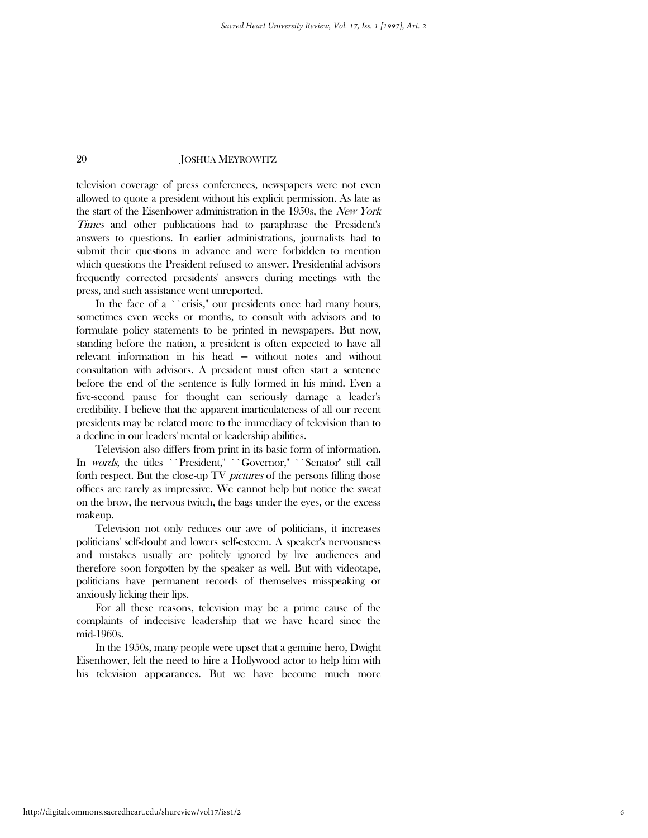television coverage of press conferences, newspapers were not even allowed to quote a president without his explicit permission. As late as the start of the Eisenhower administration in the 1950s, the New York Times and other publications had to paraphrase the President's answers to questions. In earlier administrations, journalists had to submit their questions in advance and were forbidden to mention which questions the President refused to answer. Presidential advisors frequently corrected presidents' answers during meetings with the press, and such assistance went unreported.

In the face of a ``crisis," our presidents once had many hours, sometimes even weeks or months, to consult with advisors and to formulate policy statements to be printed in newspapers. But now, standing before the nation, a president is often expected to have all relevant information in his head — without notes and without consultation with advisors. A president must often start a sentence before the end of the sentence is fully formed in his mind. Even a five-second pause for thought can seriously damage a leader's credibility. I believe that the apparent inarticulateness of all our recent presidents may be related more to the immediacy of television than to a decline in our leaders' mental or leadership abilities.

 Television also differs from print in its basic form of information. In words, the titles ``President," ``Governor," ``Senator" still call forth respect. But the close-up TV *pictures* of the persons filling those offices are rarely as impressive. We cannot help but notice the sweat on the brow, the nervous twitch, the bags under the eyes, or the excess makeup.

 Television not only reduces our awe of politicians, it increases politicians' self-doubt and lowers self-esteem. A speaker's nervousness and mistakes usually are politely ignored by live audiences and therefore soon forgotten by the speaker as well. But with videotape, politicians have permanent records of themselves misspeaking or anxiously licking their lips.

 For all these reasons, television may be a prime cause of the complaints of indecisive leadership that we have heard since the mid-1960s.

 In the 1950s, many people were upset that a genuine hero, Dwight Eisenhower, felt the need to hire a Hollywood actor to help him with his television appearances. But we have become much more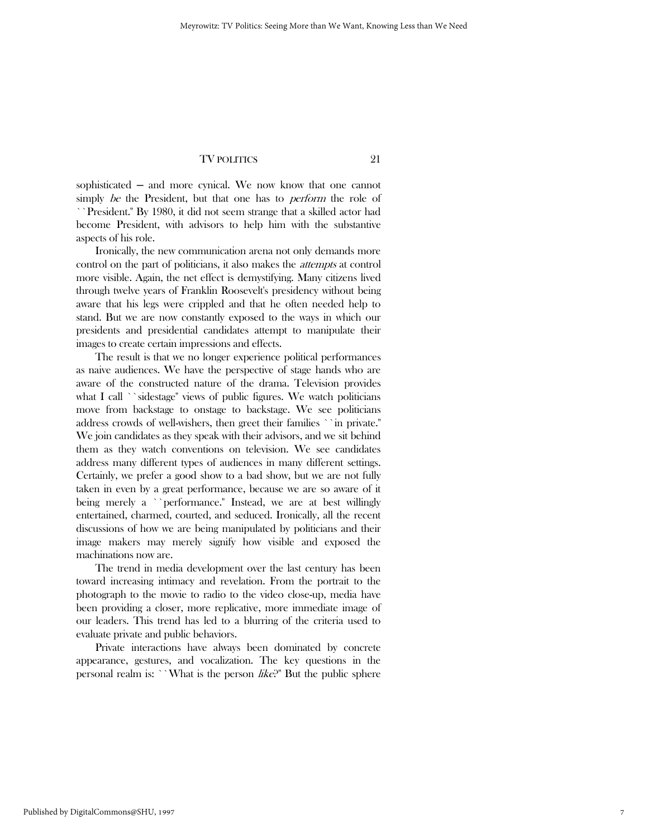sophisticated — and more cynical. We now know that one cannot simply be the President, but that one has to *perform* the role of ``President.'' By 1980, it did not seem strange that a skilled actor had become President, with advisors to help him with the substantive aspects of his role.

 Ironically, the new communication arena not only demands more control on the part of politicians, it also makes the attempts at control more visible. Again, the net effect is demystifying. Many citizens lived through twelve years of Franklin Roosevelt's presidency without being aware that his legs were crippled and that he often needed help to stand. But we are now constantly exposed to the ways in which our presidents and presidential candidates attempt to manipulate their images to create certain impressions and effects.

 The result is that we no longer experience political performances as naive audiences. We have the perspective of stage hands who are aware of the constructed nature of the drama. Television provides what I call ``sidestage'' views of public figures. We watch politicians move from backstage to onstage to backstage. We see politicians address crowds of well-wishers, then greet their families ``in private." We join candidates as they speak with their advisors, and we sit behind them as they watch conventions on television. We see candidates address many different types of audiences in many different settings. Certainly, we prefer a good show to a bad show, but we are not fully taken in even by a great performance, because we are so aware of it being merely a ``performance." Instead, we are at best willingly entertained, charmed, courted, and seduced. Ironically, all the recent discussions of how we are being manipulated by politicians and their image makers may merely signify how visible and exposed the machinations now are.

 The trend in media development over the last century has been toward increasing intimacy and revelation. From the portrait to the photograph to the movie to radio to the video close-up, media have been providing a closer, more replicative, more immediate image of our leaders. This trend has led to a blurring of the criteria used to evaluate private and public behaviors.

 Private interactions have always been dominated by concrete appearance, gestures, and vocalization. The key questions in the personal realm is: ``What is the person  $like$ ?'' But the public sphere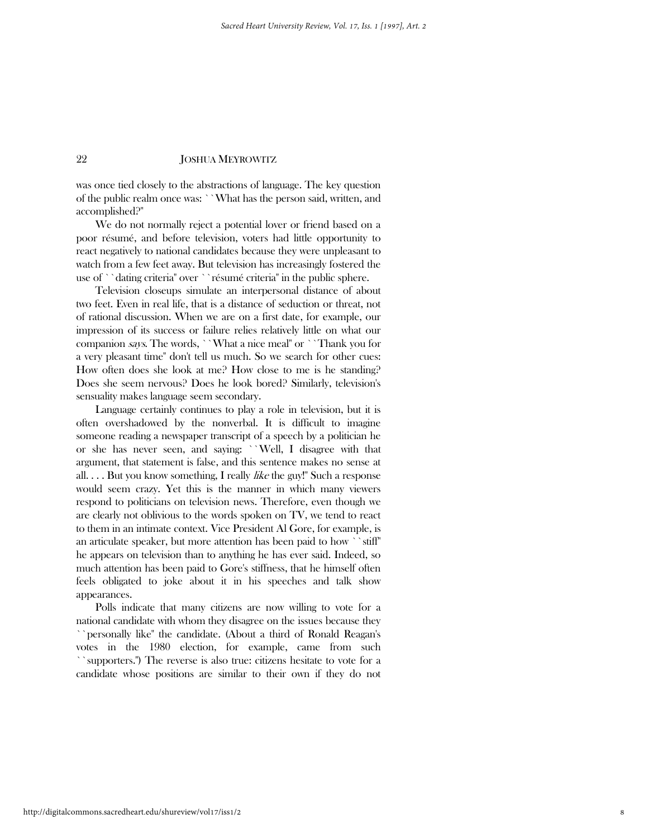was once tied closely to the abstractions of language. The key question of the public realm once was: ``What has the person said, written, and accomplished?''

 We do not normally reject a potential lover or friend based on a poor résumé, and before television, voters had little opportunity to react negatively to national candidates because they were unpleasant to watch from a few feet away. But television has increasingly fostered the use of ``dating criteria'' over ``résumé criteria'' in the public sphere.

 Television closeups simulate an interpersonal distance of about two feet. Even in real life, that is a distance of seduction or threat, not of rational discussion. When we are on a first date, for example, our impression of its success or failure relies relatively little on what our companion says. The words, ``What a nice meal'' or ``Thank you for a very pleasant time'' don't tell us much. So we search for other cues: How often does she look at me? How close to me is he standing? Does she seem nervous? Does he look bored? Similarly, television's sensuality makes language seem secondary.

 Language certainly continues to play a role in television, but it is often overshadowed by the nonverbal. It is difficult to imagine someone reading a newspaper transcript of a speech by a politician he or she has never seen, and saying: ``Well, I disagree with that argument, that statement is false, and this sentence makes no sense at all.... But you know something, I really *like* the guy!" Such a response would seem crazy. Yet this is the manner in which many viewers respond to politicians on television news. Therefore, even though we are clearly not oblivious to the words spoken on TV, we tend to react to them in an intimate context. Vice President Al Gore, for example, is an articulate speaker, but more attention has been paid to how ``stiff'' he appears on television than to anything he has ever said. Indeed, so much attention has been paid to Gore's stiffness, that he himself often feels obligated to joke about it in his speeches and talk show appearances.

 Polls indicate that many citizens are now willing to vote for a national candidate with whom they disagree on the issues because they ``personally like'' the candidate. (About a third of Ronald Reagan's votes in the 1980 election, for example, came from such ``supporters.'') The reverse is also true: citizens hesitate to vote for a candidate whose positions are similar to their own if they do not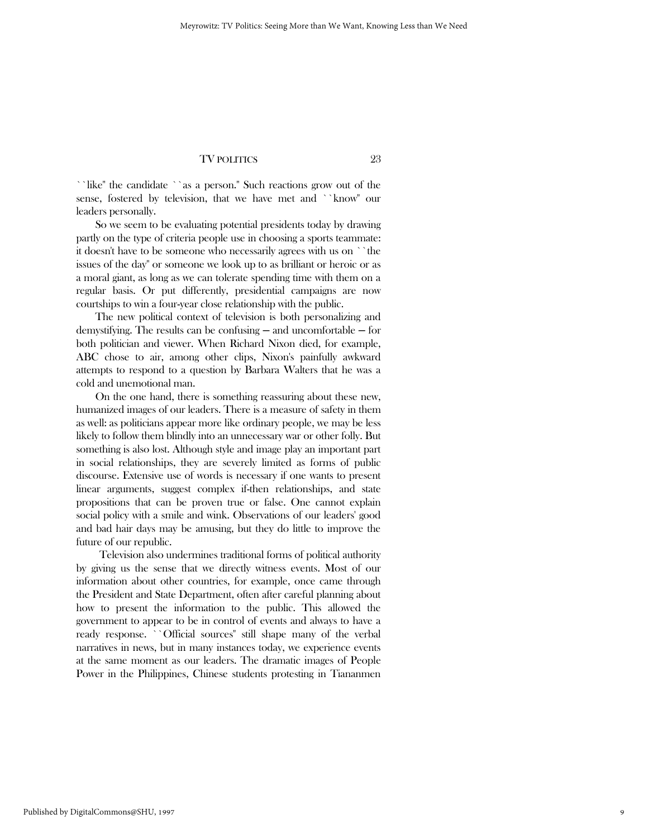``like" the candidate ``as a person." Such reactions grow out of the sense, fostered by television, that we have met and ``know'' our leaders personally.

 So we seem to be evaluating potential presidents today by drawing partly on the type of criteria people use in choosing a sports teammate: it doesn't have to be someone who necessarily agrees with us on ``the issues of the day'' or someone we look up to as brilliant or heroic or as a moral giant, as long as we can tolerate spending time with them on a regular basis. Or put differently, presidential campaigns are now courtships to win a four-year close relationship with the public.

 The new political context of television is both personalizing and demystifying. The results can be confusing — and uncomfortable — for both politician and viewer. When Richard Nixon died, for example, ABC chose to air, among other clips, Nixon's painfully awkward attempts to respond to a question by Barbara Walters that he was a cold and unemotional man.

 On the one hand, there is something reassuring about these new, humanized images of our leaders. There is a measure of safety in them as well: as politicians appear more like ordinary people, we may be less likely to follow them blindly into an unnecessary war or other folly. But something is also lost. Although style and image play an important part in social relationships, they are severely limited as forms of public discourse. Extensive use of words is necessary if one wants to present linear arguments, suggest complex if-then relationships, and state propositions that can be proven true or false. One cannot explain social policy with a smile and wink. Observations of our leaders' good and bad hair days may be amusing, but they do little to improve the future of our republic.

 Television also undermines traditional forms of political authority by giving us the sense that we directly witness events. Most of our information about other countries, for example, once came through the President and State Department, often after careful planning about how to present the information to the public. This allowed the government to appear to be in control of events and always to have a ready response. ``Official sources'' still shape many of the verbal narratives in news, but in many instances today, we experience events at the same moment as our leaders. The dramatic images of People Power in the Philippines, Chinese students protesting in Tiananmen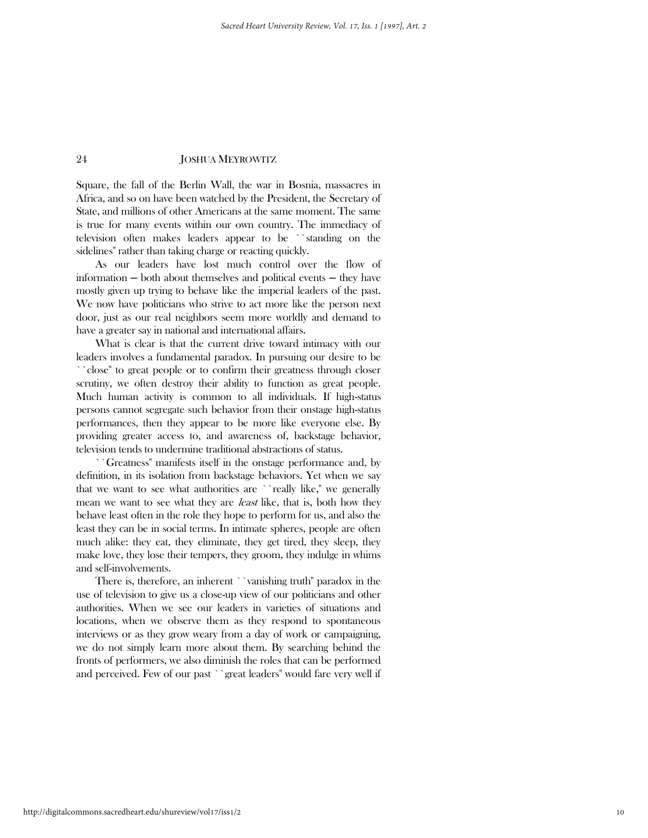Square, the fall of the Berlin Wall, the war in Bosnia, massacres in Africa, and so on have been watched by the President, the Secretary of State, and millions of other Americans at the same moment. The same is true for many events within our own country. The immediacy of television often makes leaders appear to be ``standing on the sidelines'' rather than taking charge or reacting quickly.

 As our leaders have lost much control over the flow of information ─ both about themselves and political events ─ they have mostly given up trying to behave like the imperial leaders of the past. We now have politicians who strive to act more like the person next door, just as our real neighbors seem more worldly and demand to have a greater say in national and international affairs.

 What is clear is that the current drive toward intimacy with our leaders involves a fundamental paradox. In pursuing our desire to be ``close'' to great people or to confirm their greatness through closer scrutiny, we often destroy their ability to function as great people. Much human activity is common to all individuals. If high-status persons cannot segregate such behavior from their onstage high-status performances, then they appear to be more like everyone else. By providing greater access to, and awareness of, backstage behavior, television tends to undermine traditional abstractions of status.

 ``Greatness'' manifests itself in the onstage performance and, by definition, in its isolation from backstage behaviors. Yet when we say that we want to see what authorities are ``really like,'' we generally mean we want to see what they are *least* like, that is, both how they behave least often in the role they hope to perform for us, and also the least they can be in social terms. In intimate spheres, people are often much alike: they eat, they eliminate, they get tired, they sleep, they make love, they lose their tempers, they groom, they indulge in whims and self-involvements.

 There is, therefore, an inherent ``vanishing truth'' paradox in the use of television to give us a close-up view of our politicians and other authorities. When we see our leaders in varieties of situations and locations, when we observe them as they respond to spontaneous interviews or as they grow weary from a day of work or campaigning, we do not simply learn more about them. By searching behind the fronts of performers, we also diminish the roles that can be performed and perceived. Few of our past ``great leaders'' would fare very well if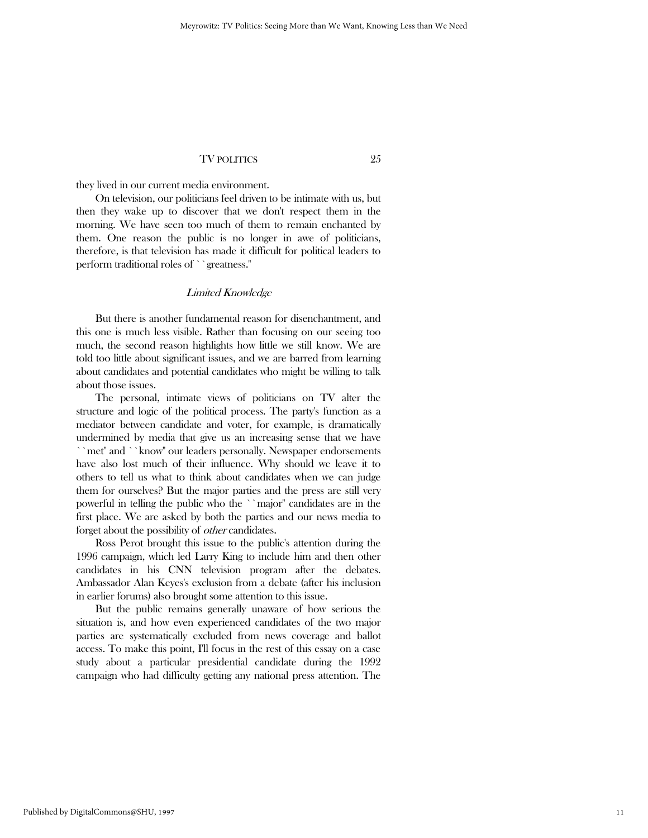they lived in our current media environment.

 On television, our politicians feel driven to be intimate with us, but then they wake up to discover that we don't respect them in the morning. We have seen too much of them to remain enchanted by them. One reason the public is no longer in awe of politicians, therefore, is that television has made it difficult for political leaders to perform traditional roles of ``greatness.''

#### Limited Knowledge

 But there is another fundamental reason for disenchantment, and this one is much less visible. Rather than focusing on our seeing too much, the second reason highlights how little we still know. We are told too little about significant issues, and we are barred from learning about candidates and potential candidates who might be willing to talk about those issues.

 The personal, intimate views of politicians on TV alter the structure and logic of the political process. The party's function as a mediator between candidate and voter, for example, is dramatically undermined by media that give us an increasing sense that we have ``met'' and ``know'' our leaders personally. Newspaper endorsements have also lost much of their influence. Why should we leave it to others to tell us what to think about candidates when we can judge them for ourselves? But the major parties and the press are still very powerful in telling the public who the ``major'' candidates are in the first place. We are asked by both the parties and our news media to forget about the possibility of other candidates.

 Ross Perot brought this issue to the public's attention during the 1996 campaign, which led Larry King to include him and then other candidates in his CNN television program after the debates. Ambassador Alan Keyes's exclusion from a debate (after his inclusion in earlier forums) also brought some attention to this issue.

 But the public remains generally unaware of how serious the situation is, and how even experienced candidates of the two major parties are systematically excluded from news coverage and ballot access. To make this point, I'll focus in the rest of this essay on a case study about a particular presidential candidate during the 1992 campaign who had difficulty getting any national press attention. The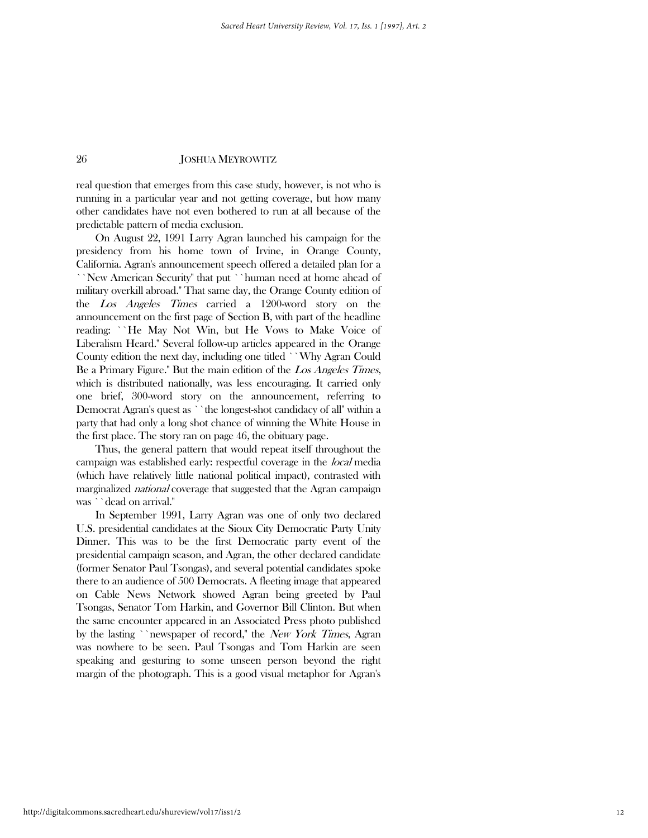real question that emerges from this case study, however, is not who is running in a particular year and not getting coverage, but how many other candidates have not even bothered to run at all because of the predictable pattern of media exclusion.

 On August 22, 1991 Larry Agran launched his campaign for the presidency from his home town of Irvine, in Orange County, California. Agran's announcement speech offered a detailed plan for a ``New American Security'' that put ``human need at home ahead of military overkill abroad.'' That same day, the Orange County edition of the Los Angeles Times carried a 1200-word story on the announcement on the first page of Section B, with part of the headline reading: ``He May Not Win, but He Vows to Make Voice of Liberalism Heard.'' Several follow-up articles appeared in the Orange County edition the next day, including one titled ``Why Agran Could Be a Primary Figure." But the main edition of the Los Angeles Times, which is distributed nationally, was less encouraging. It carried only one brief, 300-word story on the announcement, referring to Democrat Agran's quest as ``the longest-shot candidacy of all'' within a party that had only a long shot chance of winning the White House in the first place. The story ran on page 46, the obituary page.

 Thus, the general pattern that would repeat itself throughout the campaign was established early: respectful coverage in the local media (which have relatively little national political impact), contrasted with marginalized national coverage that suggested that the Agran campaign was ``dead on arrival.''

 In September 1991, Larry Agran was one of only two declared U.S. presidential candidates at the Sioux City Democratic Party Unity Dinner. This was to be the first Democratic party event of the presidential campaign season, and Agran, the other declared candidate (former Senator Paul Tsongas), and several potential candidates spoke there to an audience of 500 Democrats. A fleeting image that appeared on Cable News Network showed Agran being greeted by Paul Tsongas, Senator Tom Harkin, and Governor Bill Clinton. But when the same encounter appeared in an Associated Press photo published by the lasting ``newspaper of record," the *New York Times*, Agran was nowhere to be seen. Paul Tsongas and Tom Harkin are seen speaking and gesturing to some unseen person beyond the right margin of the photograph. This is a good visual metaphor for Agran's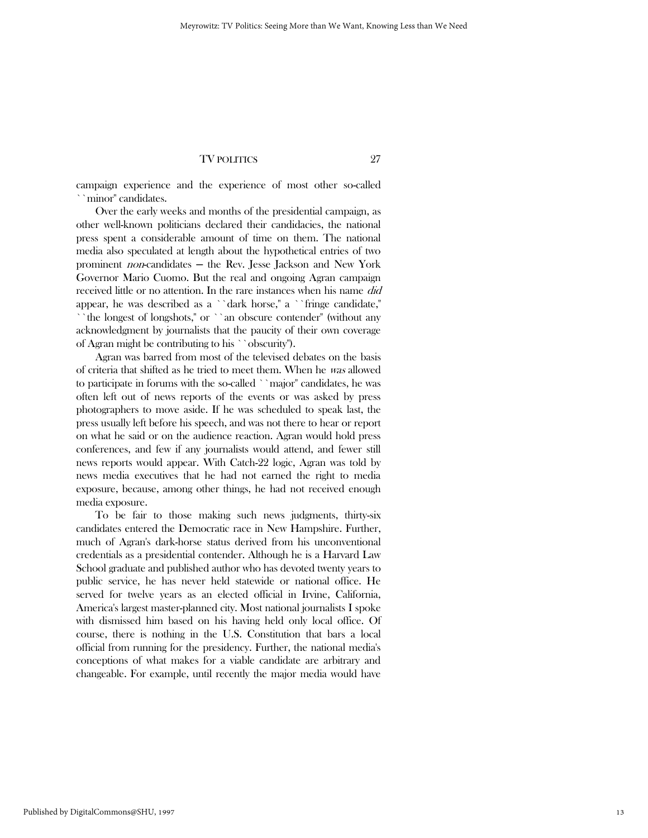campaign experience and the experience of most other so-called ``minor'' candidates.

 Over the early weeks and months of the presidential campaign, as other well-known politicians declared their candidacies, the national press spent a considerable amount of time on them. The national media also speculated at length about the hypothetical entries of two prominent *non*-candidates – the Rev. Jesse Jackson and New York Governor Mario Cuomo. But the real and ongoing Agran campaign received little or no attention. In the rare instances when his name did appear, he was described as a ``dark horse,'' a ``fringe candidate,'' ``the longest of longshots,'' or ``an obscure contender'' (without any acknowledgment by journalists that the paucity of their own coverage of Agran might be contributing to his ``obscurity'').

 Agran was barred from most of the televised debates on the basis of criteria that shifted as he tried to meet them. When he was allowed to participate in forums with the so-called ``major'' candidates, he was often left out of news reports of the events or was asked by press photographers to move aside. If he was scheduled to speak last, the press usually left before his speech, and was not there to hear or report on what he said or on the audience reaction. Agran would hold press conferences, and few if any journalists would attend, and fewer still news reports would appear. With Catch-22 logic, Agran was told by news media executives that he had not earned the right to media exposure, because, among other things, he had not received enough media exposure.

 To be fair to those making such news judgments, thirty-six candidates entered the Democratic race in New Hampshire. Further, much of Agran's dark-horse status derived from his unconventional credentials as a presidential contender. Although he is a Harvard Law School graduate and published author who has devoted twenty years to public service, he has never held statewide or national office. He served for twelve years as an elected official in Irvine, California, America's largest master-planned city. Most national journalists I spoke with dismissed him based on his having held only local office. Of course, there is nothing in the U.S. Constitution that bars a local official from running for the presidency. Further, the national media's conceptions of what makes for a viable candidate are arbitrary and changeable. For example, until recently the major media would have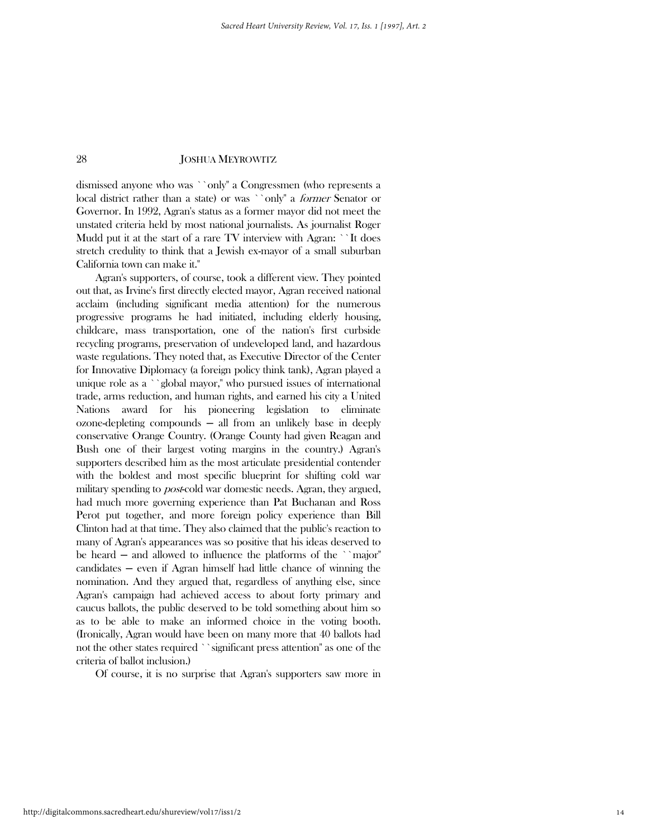dismissed anyone who was ``only'' a Congressmen (who represents a local district rather than a state) or was '`only'' a *former* Senator or Governor. In 1992, Agran's status as a former mayor did not meet the unstated criteria held by most national journalists. As journalist Roger Mudd put it at the start of a rare TV interview with Agran: ``It does stretch credulity to think that a Jewish ex-mayor of a small suburban California town can make it.''

 Agran's supporters, of course, took a different view. They pointed out that, as Irvine's first directly elected mayor, Agran received national acclaim (including significant media attention) for the numerous progressive programs he had initiated, including elderly housing, childcare, mass transportation, one of the nation's first curbside recycling programs, preservation of undeveloped land, and hazardous waste regulations. They noted that, as Executive Director of the Center for Innovative Diplomacy (a foreign policy think tank), Agran played a unique role as a ``global mayor,'' who pursued issues of international trade, arms reduction, and human rights, and earned his city a United Nations award for his pioneering legislation to eliminate  $\alpha$ zone-depleting compounds  $-$  all from an unlikely base in deeply conservative Orange Country. (Orange County had given Reagan and Bush one of their largest voting margins in the country.) Agran's supporters described him as the most articulate presidential contender with the boldest and most specific blueprint for shifting cold war military spending to *post*-cold war domestic needs. Agran, they argued, had much more governing experience than Pat Buchanan and Ross Perot put together, and more foreign policy experience than Bill Clinton had at that time. They also claimed that the public's reaction to many of Agran's appearances was so positive that his ideas deserved to be heard  $-$  and allowed to influence the platforms of the  $\gamma$  major candidates ─ even if Agran himself had little chance of winning the nomination. And they argued that, regardless of anything else, since Agran's campaign had achieved access to about forty primary and caucus ballots, the public deserved to be told something about him so as to be able to make an informed choice in the voting booth. (Ironically, Agran would have been on many more that 40 ballots had not the other states required ``significant press attention'' as one of the criteria of ballot inclusion.)

Of course, it is no surprise that Agran's supporters saw more in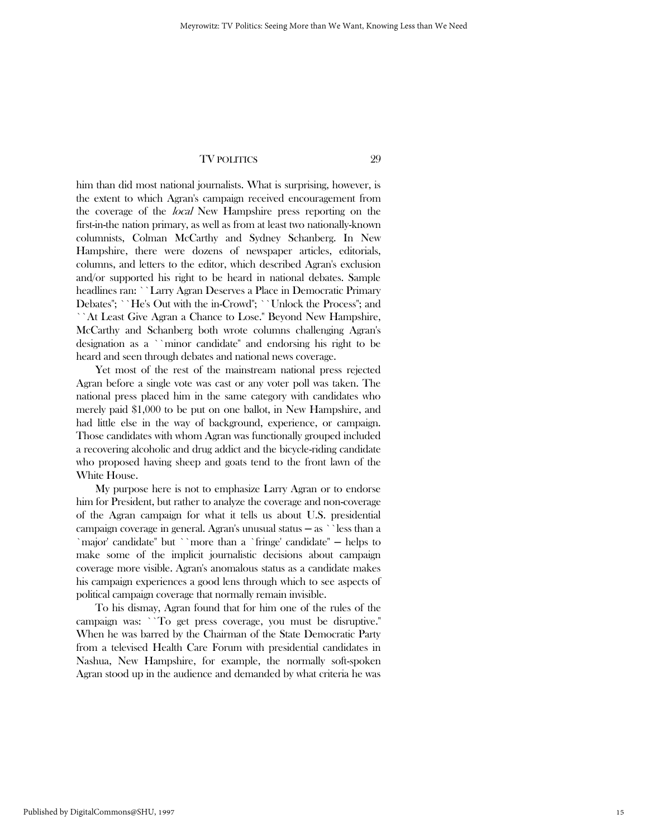him than did most national journalists. What is surprising, however, is the extent to which Agran's campaign received encouragement from the coverage of the local New Hampshire press reporting on the first-in-the nation primary, as well as from at least two nationally-known columnists, Colman McCarthy and Sydney Schanberg. In New Hampshire, there were dozens of newspaper articles, editorials, columns, and letters to the editor, which described Agran's exclusion and/or supported his right to be heard in national debates. Sample headlines ran: ``Larry Agran Deserves a Place in Democratic Primary Debates''; ``He's Out with the in-Crowd''; ``Unlock the Process''; and ``At Least Give Agran a Chance to Lose.'' Beyond New Hampshire, McCarthy and Schanberg both wrote columns challenging Agran's designation as a ``minor candidate'' and endorsing his right to be heard and seen through debates and national news coverage.

 Yet most of the rest of the mainstream national press rejected Agran before a single vote was cast or any voter poll was taken. The national press placed him in the same category with candidates who merely paid \$1,000 to be put on one ballot, in New Hampshire, and had little else in the way of background, experience, or campaign. Those candidates with whom Agran was functionally grouped included a recovering alcoholic and drug addict and the bicycle-riding candidate who proposed having sheep and goats tend to the front lawn of the White House.

 My purpose here is not to emphasize Larry Agran or to endorse him for President, but rather to analyze the coverage and non-coverage of the Agran campaign for what it tells us about U.S. presidential campaign coverage in general. Agran's unusual status  $-$  as ``less than a `major' candidate'' but ``more than a `fringe' candidate'' ─ helps to make some of the implicit journalistic decisions about campaign coverage more visible. Agran's anomalous status as a candidate makes his campaign experiences a good lens through which to see aspects of political campaign coverage that normally remain invisible.

 To his dismay, Agran found that for him one of the rules of the campaign was: ``To get press coverage, you must be disruptive.'' When he was barred by the Chairman of the State Democratic Party from a televised Health Care Forum with presidential candidates in Nashua, New Hampshire, for example, the normally soft-spoken Agran stood up in the audience and demanded by what criteria he was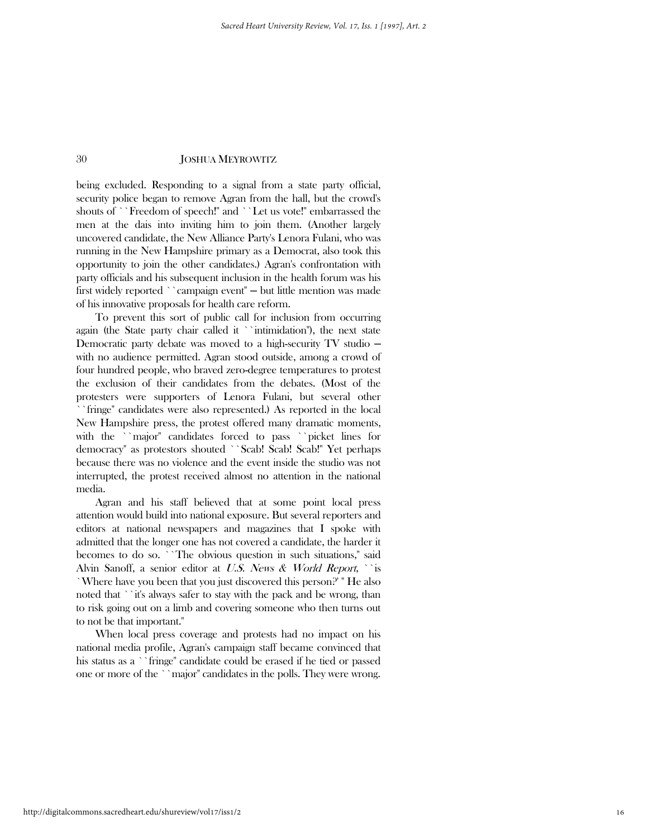being excluded. Responding to a signal from a state party official, security police began to remove Agran from the hall, but the crowd's shouts of ``Freedom of speech!'' and ``Let us vote!'' embarrassed the men at the dais into inviting him to join them. (Another largely uncovered candidate, the New Alliance Party's Lenora Fulani, who was running in the New Hampshire primary as a Democrat, also took this opportunity to join the other candidates.) Agran's confrontation with party officials and his subsequent inclusion in the health forum was his first widely reported ``campaign event'' ─ but little mention was made of his innovative proposals for health care reform.

 To prevent this sort of public call for inclusion from occurring again (the State party chair called it ``intimidation"), the next state Democratic party debate was moved to a high-security TV studio  $$ with no audience permitted. Agran stood outside, among a crowd of four hundred people, who braved zero-degree temperatures to protest the exclusion of their candidates from the debates. (Most of the protesters were supporters of Lenora Fulani, but several other ``fringe'' candidates were also represented.) As reported in the local New Hampshire press, the protest offered many dramatic moments, with the ``major'' candidates forced to pass ``picket lines for democracy'' as protestors shouted ``Scab! Scab! Scab!'' Yet perhaps because there was no violence and the event inside the studio was not interrupted, the protest received almost no attention in the national media.

 Agran and his staff believed that at some point local press attention would build into national exposure. But several reporters and editors at national newspapers and magazines that I spoke with admitted that the longer one has not covered a candidate, the harder it becomes to do so. ``The obvious question in such situations,'' said Alvin Sanoff, a senior editor at U.S. News & World Report, ``is `Where have you been that you just discovered this person?' '' He also noted that ``it's always safer to stay with the pack and be wrong, than to risk going out on a limb and covering someone who then turns out to not be that important.''

 When local press coverage and protests had no impact on his national media profile, Agran's campaign staff became convinced that his status as a ``fringe'' candidate could be erased if he tied or passed one or more of the ``major'' candidates in the polls. They were wrong.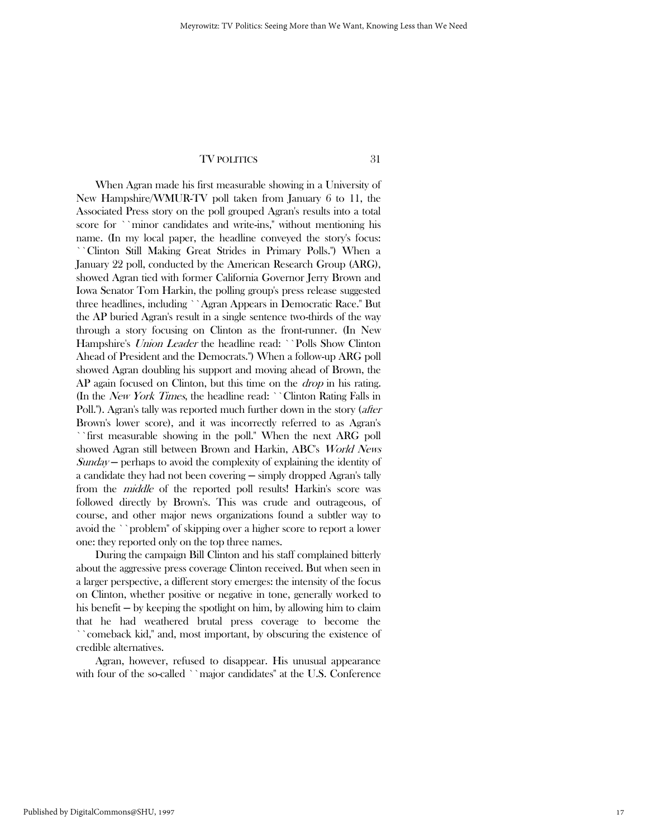When Agran made his first measurable showing in a University of New Hampshire/WMUR-TV poll taken from January 6 to 11, the Associated Press story on the poll grouped Agran's results into a total score for ``minor candidates and write-ins," without mentioning his name. (In my local paper, the headline conveyed the story's focus: ``Clinton Still Making Great Strides in Primary Polls.'') When a January 22 poll, conducted by the American Research Group (ARG), showed Agran tied with former California Governor Jerry Brown and Iowa Senator Tom Harkin, the polling group's press release suggested three headlines, including ``Agran Appears in Democratic Race.'' But the AP buried Agran's result in a single sentence two-thirds of the way through a story focusing on Clinton as the front-runner. (In New Hampshire's *Union Leader* the headline read: ``Polls Show Clinton Ahead of President and the Democrats.'') When a follow-up ARG poll showed Agran doubling his support and moving ahead of Brown, the AP again focused on Clinton, but this time on the *drop* in his rating. (In the New York Times, the headline read: ``Clinton Rating Falls in Poll."). Agran's tally was reported much further down in the story (*after* Brown's lower score), and it was incorrectly referred to as Agran's ``first measurable showing in the poll.'' When the next ARG poll showed Agran still between Brown and Harkin, ABC's World News  $Sunday$  – perhaps to avoid the complexity of explaining the identity of a candidate they had not been covering ─ simply dropped Agran's tally from the *middle* of the reported poll results! Harkin's score was followed directly by Brown's. This was crude and outrageous, of course, and other major news organizations found a subtler way to avoid the ``problem'' of skipping over a higher score to report a lower one: they reported only on the top three names.

 During the campaign Bill Clinton and his staff complained bitterly about the aggressive press coverage Clinton received. But when seen in a larger perspective, a different story emerges: the intensity of the focus on Clinton, whether positive or negative in tone, generally worked to his benefit — by keeping the spotlight on him, by allowing him to claim that he had weathered brutal press coverage to become the ``comeback kid,'' and, most important, by obscuring the existence of credible alternatives.

 Agran, however, refused to disappear. His unusual appearance with four of the so-called ``major candidates" at the U.S. Conference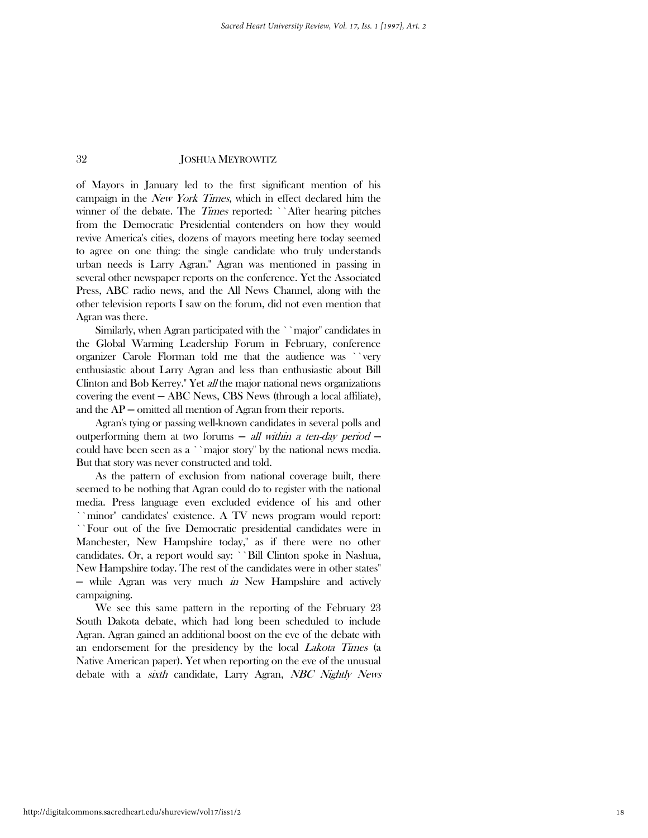of Mayors in January led to the first significant mention of his campaign in the New York Times, which in effect declared him the winner of the debate. The *Times* reported: ``After hearing pitches from the Democratic Presidential contenders on how they would revive America's cities, dozens of mayors meeting here today seemed to agree on one thing: the single candidate who truly understands urban needs is Larry Agran.'' Agran was mentioned in passing in several other newspaper reports on the conference. Yet the Associated Press, ABC radio news, and the All News Channel, along with the other television reports I saw on the forum, did not even mention that Agran was there.

 Similarly, when Agran participated with the ``major'' candidates in the Global Warming Leadership Forum in February, conference organizer Carole Florman told me that the audience was ``very enthusiastic about Larry Agran and less than enthusiastic about Bill Clinton and Bob Kerrey.'' Yet all the major national news organizations covering the event ─ ABC News, CBS News (through a local affiliate), and the AP – omitted all mention of Agran from their reports.

 Agran's tying or passing well-known candidates in several polls and outperforming them at two forums  $-$  *all within a ten-day period*  $$ could have been seen as a ``major story'' by the national news media. But that story was never constructed and told.

 As the pattern of exclusion from national coverage built, there seemed to be nothing that Agran could do to register with the national media. Press language even excluded evidence of his and other ``minor'' candidates' existence. A TV news program would report: ``Four out of the five Democratic presidential candidates were in Manchester, New Hampshire today,'' as if there were no other candidates. Or, a report would say: ``Bill Clinton spoke in Nashua, New Hampshire today. The rest of the candidates were in other states''  $-$  while Agran was very much in New Hampshire and actively campaigning.

 We see this same pattern in the reporting of the February 23 South Dakota debate, which had long been scheduled to include Agran. Agran gained an additional boost on the eve of the debate with an endorsement for the presidency by the local *Lakota Times* (a Native American paper). Yet when reporting on the eve of the unusual debate with a sixth candidate, Larry Agran, NBC Nightly News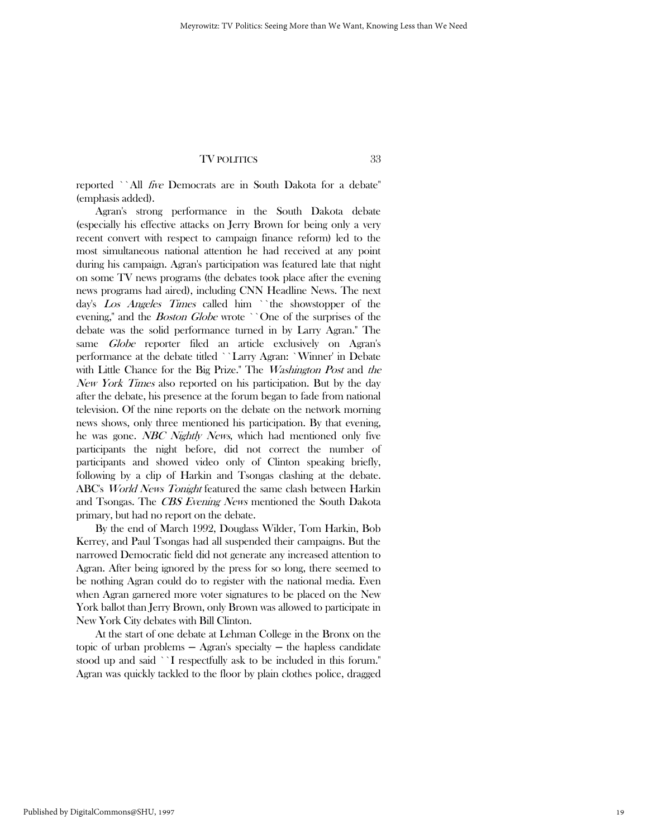reported ``All five Democrats are in South Dakota for a debate'' (emphasis added).

 Agran's strong performance in the South Dakota debate (especially his effective attacks on Jerry Brown for being only a very recent convert with respect to campaign finance reform) led to the most simultaneous national attention he had received at any point during his campaign. Agran's participation was featured late that night on some TV news programs (the debates took place after the evening news programs had aired), including CNN Headline News. The next day's Los Angeles Times called him ``the showstopper of the evening," and the *Boston Globe* wrote ``One of the surprises of the debate was the solid performance turned in by Larry Agran.'' The same Globe reporter filed an article exclusively on Agran's performance at the debate titled ``Larry Agran: `Winner' in Debate with Little Chance for the Big Prize." The Washington Post and the New York Times also reported on his participation. But by the day after the debate, his presence at the forum began to fade from national television. Of the nine reports on the debate on the network morning news shows, only three mentioned his participation. By that evening, he was gone. NBC Nightly News, which had mentioned only five participants the night before, did not correct the number of participants and showed video only of Clinton speaking briefly, following by a clip of Harkin and Tsongas clashing at the debate. ABC's World News Tonight featured the same clash between Harkin and Tsongas. The *CBS Evening News* mentioned the South Dakota primary, but had no report on the debate.

 By the end of March 1992, Douglass Wilder, Tom Harkin, Bob Kerrey, and Paul Tsongas had all suspended their campaigns. But the narrowed Democratic field did not generate any increased attention to Agran. After being ignored by the press for so long, there seemed to be nothing Agran could do to register with the national media. Even when Agran garnered more voter signatures to be placed on the New York ballot than Jerry Brown, only Brown was allowed to participate in New York City debates with Bill Clinton.

 At the start of one debate at Lehman College in the Bronx on the topic of urban problems  $-$  Agran's specialty  $-$  the hapless candidate stood up and said ``I respectfully ask to be included in this forum.'' Agran was quickly tackled to the floor by plain clothes police, dragged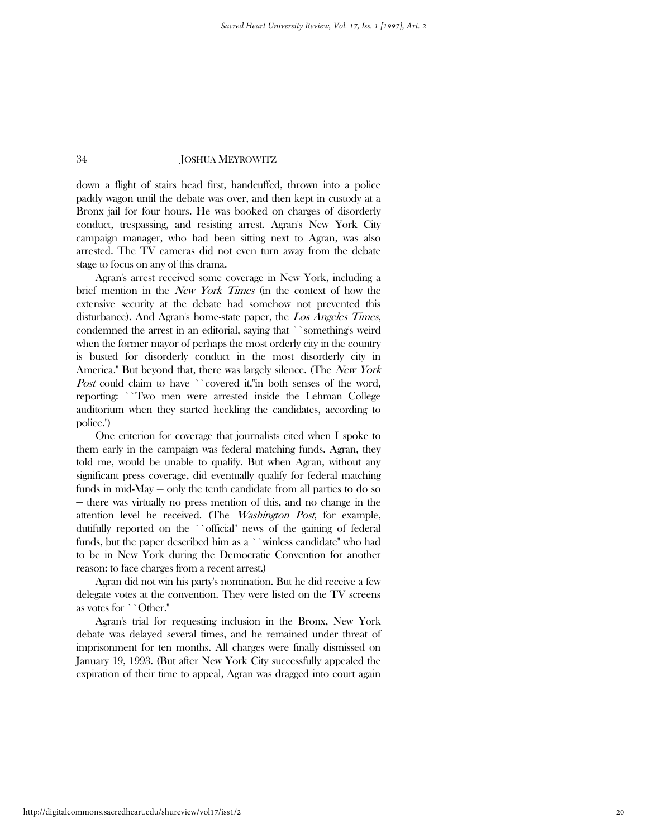down a flight of stairs head first, handcuffed, thrown into a police paddy wagon until the debate was over, and then kept in custody at a Bronx jail for four hours. He was booked on charges of disorderly conduct, trespassing, and resisting arrest. Agran's New York City campaign manager, who had been sitting next to Agran, was also arrested. The TV cameras did not even turn away from the debate stage to focus on any of this drama.

 Agran's arrest received some coverage in New York, including a brief mention in the New York Times (in the context of how the extensive security at the debate had somehow not prevented this disturbance). And Agran's home-state paper, the Los Angeles Times, condemned the arrest in an editorial, saying that ``something's weird when the former mayor of perhaps the most orderly city in the country is busted for disorderly conduct in the most disorderly city in America." But beyond that, there was largely silence. (The *New York* Post could claim to have ``covered it,"in both senses of the word, reporting: ``Two men were arrested inside the Lehman College auditorium when they started heckling the candidates, according to police.'')

 One criterion for coverage that journalists cited when I spoke to them early in the campaign was federal matching funds. Agran, they told me, would be unable to qualify. But when Agran, without any significant press coverage, did eventually qualify for federal matching funds in mid-May  $-$  only the tenth candidate from all parties to do so ─ there was virtually no press mention of this, and no change in the attention level he received. (The Washington Post, for example, dutifully reported on the ``official'' news of the gaining of federal funds, but the paper described him as a ``winless candidate'' who had to be in New York during the Democratic Convention for another reason: to face charges from a recent arrest.)

 Agran did not win his party's nomination. But he did receive a few delegate votes at the convention. They were listed on the TV screens as votes for ``Other.''

 Agran's trial for requesting inclusion in the Bronx, New York debate was delayed several times, and he remained under threat of imprisonment for ten months. All charges were finally dismissed on January 19, 1993. (But after New York City successfully appealed the expiration of their time to appeal, Agran was dragged into court again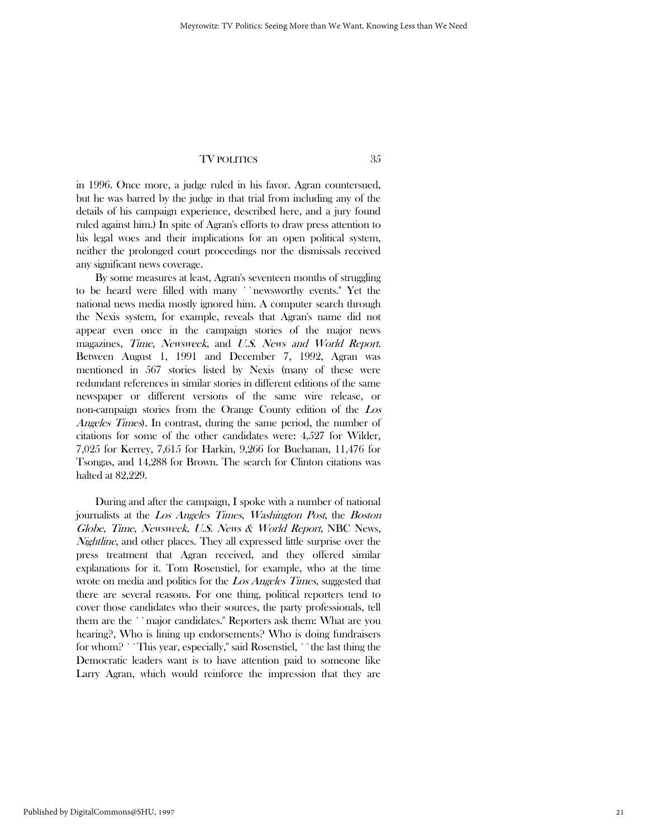in 1996. Once more, a judge ruled in his favor. Agran countersued, but he was barred by the judge in that trial from including any of the details of his campaign experience, described here, and a jury found ruled against him.) In spite of Agran's efforts to draw press attention to his legal woes and their implications for an open political system, neither the prolonged court proceedings nor the dismissals received any significant news coverage.

 By some measures at least, Agran's seventeen months of struggling to be heard were filled with many ``newsworthy events.'' Yet the national news media mostly ignored him. A computer search through the Nexis system, for example, reveals that Agran's name did not appear even once in the campaign stories of the major news magazines, Time, Newsweek, and U.S. News and World Report. Between August 1, 1991 and December 7, 1992, Agran was mentioned in 567 stories listed by Nexis (many of these were redundant references in similar stories in different editions of the same newspaper or different versions of the same wire release, or non-campaign stories from the Orange County edition of the Los Angeles Times). In contrast, during the same period, the number of citations for some of the other candidates were: 4,527 for Wilder, 7,025 for Kerrey, 7,615 for Harkin, 9,266 for Buchanan, 11,476 for Tsongas, and 14,288 for Brown. The search for Clinton citations was halted at 82,229.

 During and after the campaign, I spoke with a number of national journalists at the Los Angeles Times, Washington Post, the Boston Globe, Time, Newsweek, U.S. News & World Report, NBC News, Nightline, and other places. They all expressed little surprise over the press treatment that Agran received, and they offered similar explanations for it. Tom Rosenstiel, for example, who at the time wrote on media and politics for the Los Angeles Times, suggested that there are several reasons. For one thing, political reporters tend to cover those candidates who their sources, the party professionals, tell them are the ``major candidates.'' Reporters ask them: What are you hearing?, Who is lining up endorsements? Who is doing fundraisers for whom? ``This year, especially,'' said Rosenstiel, ``the last thing the Democratic leaders want is to have attention paid to someone like Larry Agran, which would reinforce the impression that they are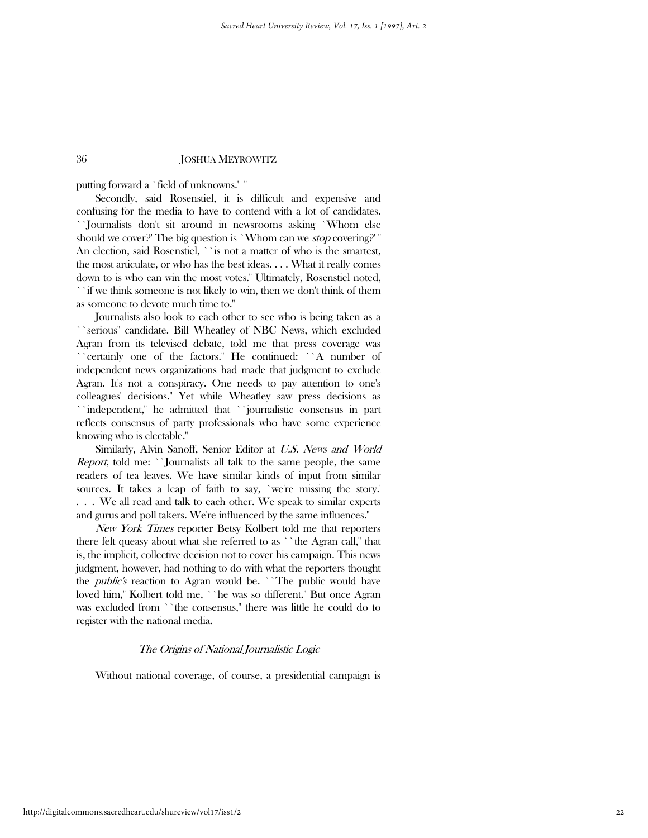putting forward a `field of unknowns.' ''

 Secondly, said Rosenstiel, it is difficult and expensive and confusing for the media to have to contend with a lot of candidates. ``Journalists don't sit around in newsrooms asking `Whom else should we cover?' The big question is `Whom can we *stop* covering?' ' An election, said Rosenstiel, ``is not a matter of who is the smartest, the most articulate, or who has the best ideas. . . . What it really comes down to is who can win the most votes.'' Ultimately, Rosenstiel noted, ``if we think someone is not likely to win, then we don't think of them as someone to devote much time to.''

 Journalists also look to each other to see who is being taken as a ``serious'' candidate. Bill Wheatley of NBC News, which excluded Agran from its televised debate, told me that press coverage was ``certainly one of the factors.'' He continued: ``A number of independent news organizations had made that judgment to exclude Agran. It's not a conspiracy. One needs to pay attention to one's colleagues' decisions.'' Yet while Wheatley saw press decisions as ``independent,'' he admitted that ``journalistic consensus in part reflects consensus of party professionals who have some experience knowing who is electable.''

Similarly, Alvin Sanoff, Senior Editor at U.S. News and World Report, told me: ``Journalists all talk to the same people, the same readers of tea leaves. We have similar kinds of input from similar sources. It takes a leap of faith to say, `we're missing the story.' . . . We all read and talk to each other. We speak to similar experts and gurus and poll takers. We're influenced by the same influences.''

New York Times reporter Betsy Kolbert told me that reporters there felt queasy about what she referred to as ``the Agran call,'' that is, the implicit, collective decision not to cover his campaign. This news judgment, however, had nothing to do with what the reporters thought the *public's* reaction to Agran would be. ``The public would have loved him,'' Kolbert told me, ``he was so different.'' But once Agran was excluded from ``the consensus,'' there was little he could do to register with the national media.

#### The Origins of National Journalistic Logic

Without national coverage, of course, a presidential campaign is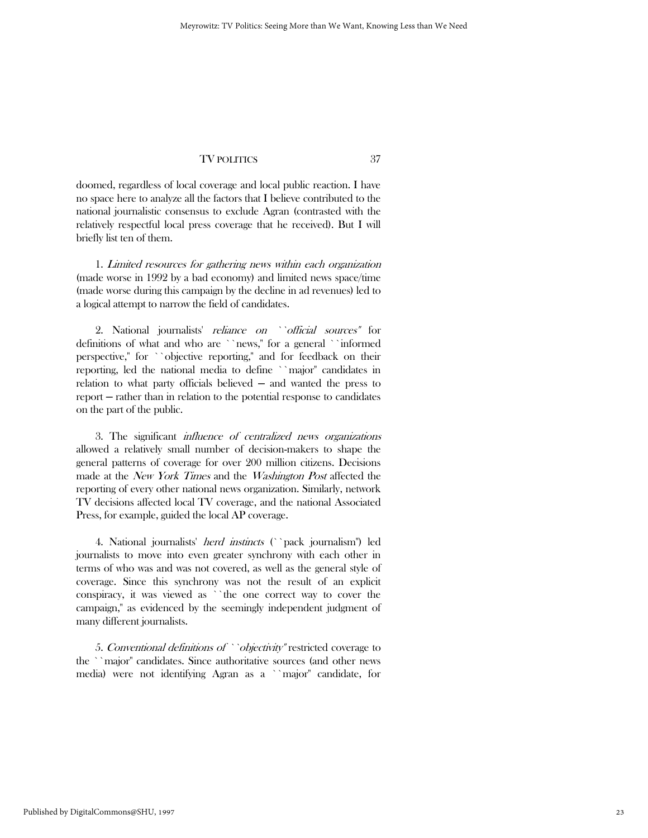doomed, regardless of local coverage and local public reaction. I have no space here to analyze all the factors that I believe contributed to the national journalistic consensus to exclude Agran (contrasted with the relatively respectful local press coverage that he received). But I will briefly list ten of them.

 1. Limited resources for gathering news within each organization (made worse in 1992 by a bad economy) and limited news space/time (made worse during this campaign by the decline in ad revenues) led to a logical attempt to narrow the field of candidates.

2. National journalists' reliance on *``official sources*" for definitions of what and who are ``news,'' for a general ``informed perspective,'' for ``objective reporting,'' and for feedback on their reporting, led the national media to define ``major'' candidates in relation to what party officials believed  $-$  and wanted the press to report ─ rather than in relation to the potential response to candidates on the part of the public.

 3. The significant influence of centralized news organizations allowed a relatively small number of decision-makers to shape the general patterns of coverage for over 200 million citizens. Decisions made at the New York Times and the Washington Post affected the reporting of every other national news organization. Similarly, network TV decisions affected local TV coverage, and the national Associated Press, for example, guided the local AP coverage.

4. National journalists' *herd instincts* ("pack journalism") led journalists to move into even greater synchrony with each other in terms of who was and was not covered, as well as the general style of coverage. Since this synchrony was not the result of an explicit conspiracy, it was viewed as ``the one correct way to cover the campaign,'' as evidenced by the seemingly independent judgment of many different journalists.

5. Conventional definitions of ``objectivity'' restricted coverage to the ``major'' candidates. Since authoritative sources (and other news media) were not identifying Agran as a ``major'' candidate, for

Published by DigitalCommons@SHU, 1997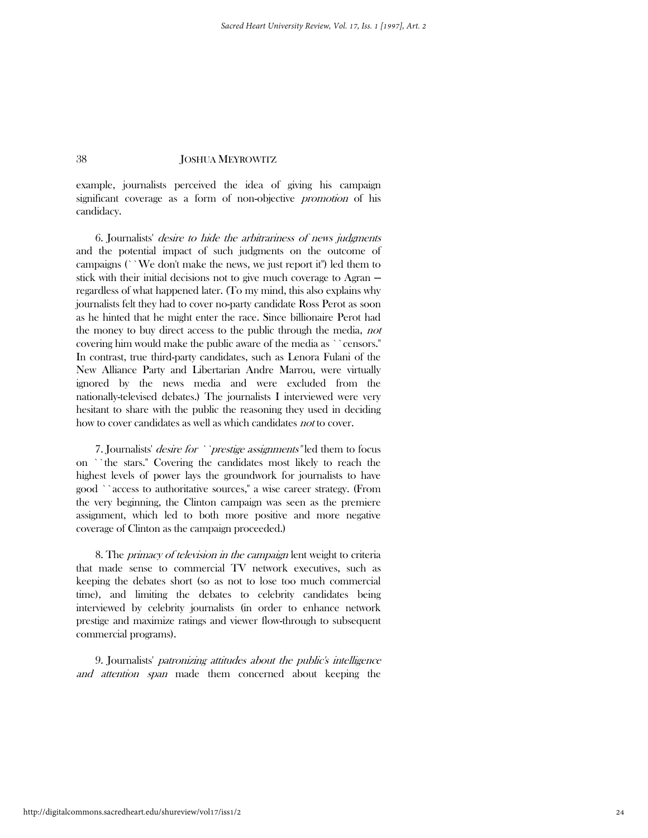example, journalists perceived the idea of giving his campaign significant coverage as a form of non-objective promotion of his candidacy.

 6. Journalists' desire to hide the arbitrariness of news judgments and the potential impact of such judgments on the outcome of campaigns (``We don't make the news, we just report it'') led them to stick with their initial decisions not to give much coverage to Agran – regardless of what happened later. (To my mind, this also explains why journalists felt they had to cover no-party candidate Ross Perot as soon as he hinted that he might enter the race. Since billionaire Perot had the money to buy direct access to the public through the media, not covering him would make the public aware of the media as ``censors.'' In contrast, true third-party candidates, such as Lenora Fulani of the New Alliance Party and Libertarian Andre Marrou, were virtually ignored by the news media and were excluded from the nationally-televised debates.) The journalists I interviewed were very hesitant to share with the public the reasoning they used in deciding how to cover candidates as well as which candidates *not* to cover.

7. Journalists' *desire for ``prestige assignments*" led them to focus on ``the stars.'' Covering the candidates most likely to reach the highest levels of power lays the groundwork for journalists to have good ``access to authoritative sources,'' a wise career strategy. (From the very beginning, the Clinton campaign was seen as the premiere assignment, which led to both more positive and more negative coverage of Clinton as the campaign proceeded.)

 8. The primacy of television in the campaign lent weight to criteria that made sense to commercial TV network executives, such as keeping the debates short (so as not to lose too much commercial time), and limiting the debates to celebrity candidates being interviewed by celebrity journalists (in order to enhance network prestige and maximize ratings and viewer flow-through to subsequent commercial programs).

 9. Journalists' patronizing attitudes about the public's intelligence and attention span made them concerned about keeping the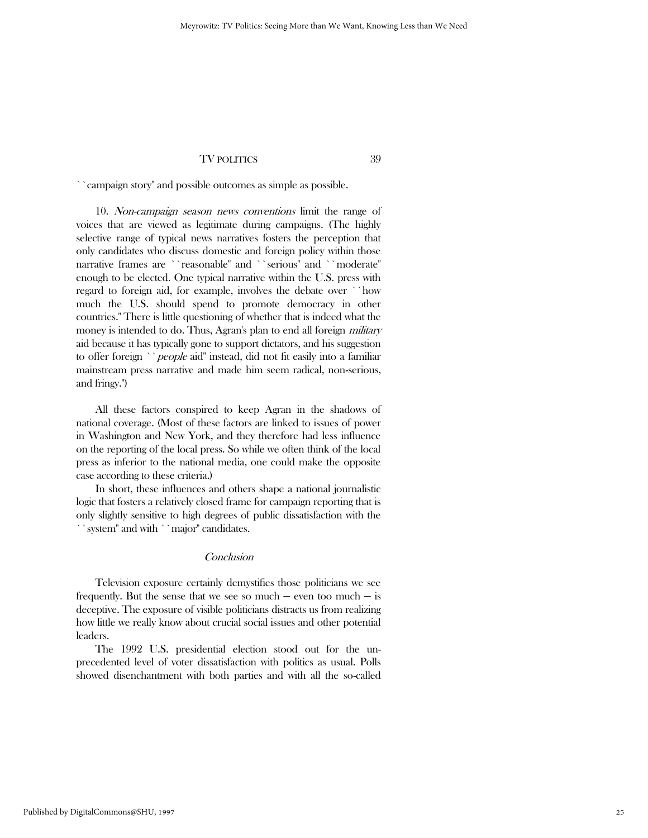``campaign story'' and possible outcomes as simple as possible.

 10. Non-campaign season news conventions limit the range of voices that are viewed as legitimate during campaigns. (The highly selective range of typical news narratives fosters the perception that only candidates who discuss domestic and foreign policy within those narrative frames are ``reasonable" and ``serious" and ``moderate" enough to be elected. One typical narrative within the U.S. press with regard to foreign aid, for example, involves the debate over ``how much the U.S. should spend to promote democracy in other countries.'' There is little questioning of whether that is indeed what the money is intended to do. Thus, Agran's plan to end all foreign *military* aid because it has typically gone to support dictators, and his suggestion to offer foreign *`` people* aid" instead, did not fit easily into a familiar mainstream press narrative and made him seem radical, non-serious, and fringy.'')

 All these factors conspired to keep Agran in the shadows of national coverage. (Most of these factors are linked to issues of power in Washington and New York, and they therefore had less influence on the reporting of the local press. So while we often think of the local press as inferior to the national media, one could make the opposite case according to these criteria.)

 In short, these influences and others shape a national journalistic logic that fosters a relatively closed frame for campaign reporting that is only slightly sensitive to high degrees of public dissatisfaction with the ``system'' and with ``major'' candidates.

#### Conclusion

 Television exposure certainly demystifies those politicians we see frequently. But the sense that we see so much — even too much — is deceptive. The exposure of visible politicians distracts us from realizing how little we really know about crucial social issues and other potential leaders.

 The 1992 U.S. presidential election stood out for the unprecedented level of voter dissatisfaction with politics as usual. Polls showed disenchantment with both parties and with all the so-called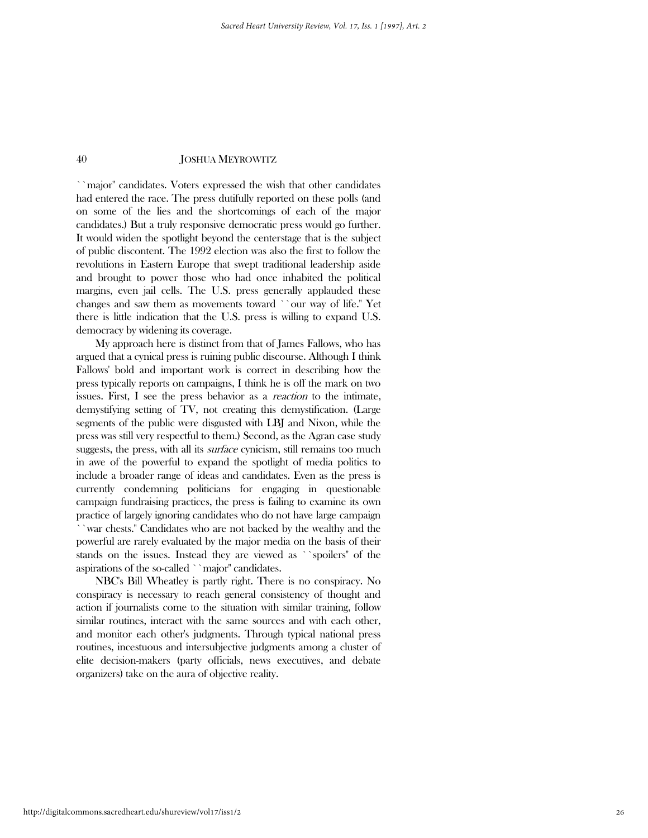``major'' candidates. Voters expressed the wish that other candidates had entered the race. The press dutifully reported on these polls (and on some of the lies and the shortcomings of each of the major candidates.) But a truly responsive democratic press would go further. It would widen the spotlight beyond the centerstage that is the subject of public discontent. The 1992 election was also the first to follow the revolutions in Eastern Europe that swept traditional leadership aside and brought to power those who had once inhabited the political margins, even jail cells. The U.S. press generally applauded these changes and saw them as movements toward ``our way of life.'' Yet there is little indication that the U.S. press is willing to expand U.S. democracy by widening its coverage.

 My approach here is distinct from that of James Fallows, who has argued that a cynical press is ruining public discourse. Although I think Fallows' bold and important work is correct in describing how the press typically reports on campaigns, I think he is off the mark on two issues. First, I see the press behavior as a reaction to the intimate, demystifying setting of TV, not creating this demystification. (Large segments of the public were disgusted with LBJ and Nixon, while the press was still very respectful to them.) Second, as the Agran case study suggests, the press, with all its *surface* cynicism, still remains too much in awe of the powerful to expand the spotlight of media politics to include a broader range of ideas and candidates. Even as the press is currently condemning politicians for engaging in questionable campaign fundraising practices, the press is failing to examine its own practice of largely ignoring candidates who do not have large campaign `war chests." Candidates who are not backed by the wealthy and the powerful are rarely evaluated by the major media on the basis of their stands on the issues. Instead they are viewed as ``spoilers'' of the aspirations of the so-called ``major'' candidates.

 NBC's Bill Wheatley is partly right. There is no conspiracy. No conspiracy is necessary to reach general consistency of thought and action if journalists come to the situation with similar training, follow similar routines, interact with the same sources and with each other, and monitor each other's judgments. Through typical national press routines, incestuous and intersubjective judgments among a cluster of elite decision-makers (party officials, news executives, and debate organizers) take on the aura of objective reality.